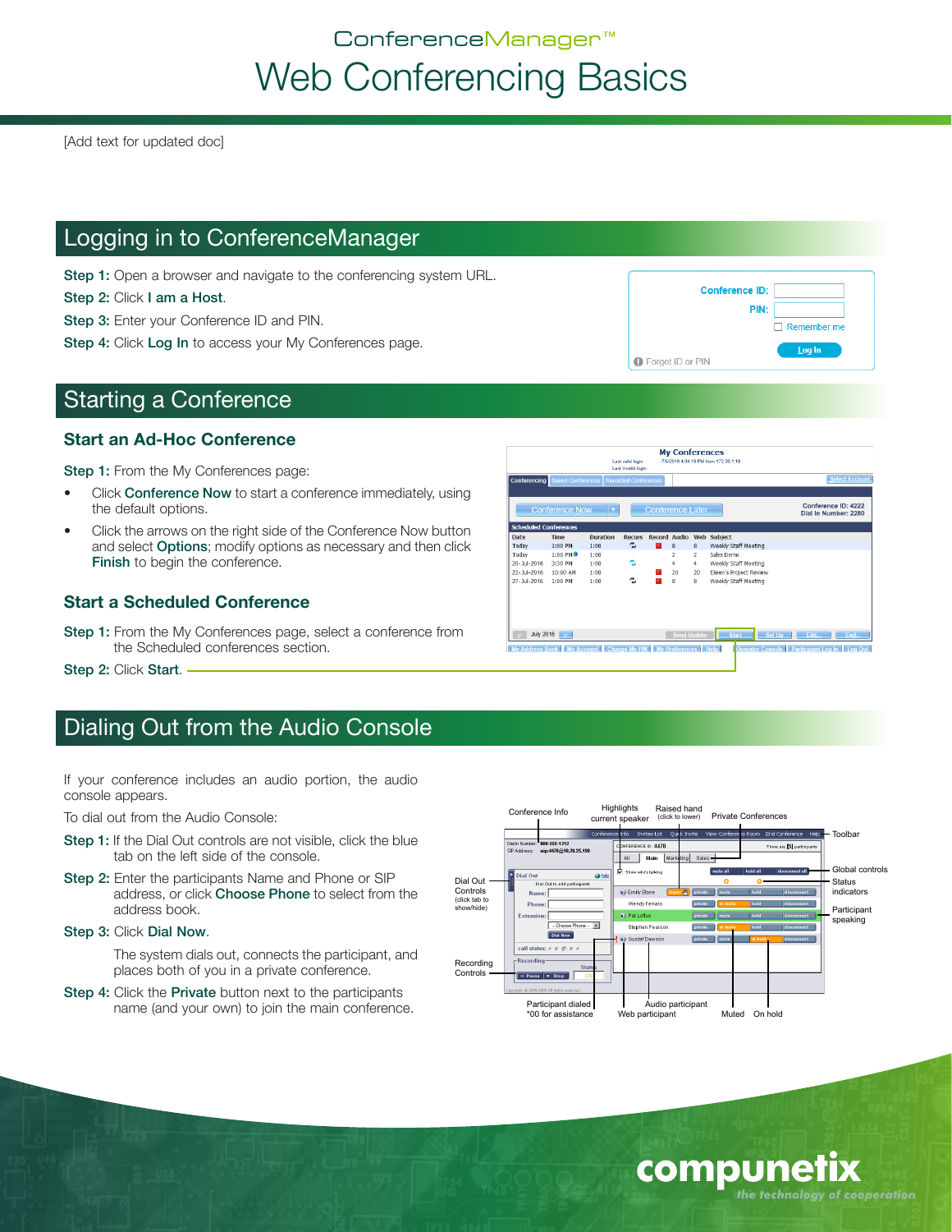# ConferenceManager™ Web Conferencing Basics

[Add text for updated doc]

### Logging in to ConferenceManager

Step 1: Open a browser and navigate to the conferencing system URL.

Step 2: Click I am a Host.

Step 3: Enter your Conference ID and PIN.

Step 4: Click Log In to access your My Conferences page.

### Starting a Conference

#### **Start an Ad-Hoc Conference**

Step 1: From the My Conferences page:

- Click **Conference Now** to start a conference immediately, using the default options.
- Click the arrows on the right side of the Conference Now button and select **Options**; modify options as necessary and then click Finish to begin the conference.

### **Start a Scheduled Conference**

Step 1: From the My Conferences page, select a conference from the Scheduled conferences section.

Step 2: Click Start. -

### Dialing Out from the Audio Console

If your conference includes an audio portion, the audio console appears.

To dial out from the Audio Console:

- Step 1: If the Dial Out controls are not visible, click the blue tab on the left side of the console.
- Step 2: Enter the participants Name and Phone or SIP address, or click Choose Phone to select from the address book.
- Step 3: Click Dial Now.

The system dials out, connects the participant, and places both of you in a private conference.

Step 4: Click the Private button next to the participants name (and your own) to join the main conference.



**My Conferences** 

G Forgot ID or PIN

**Conference ID:** 

**PIN:** 

 $\Box$  Remember me Log In



compune

the technology of cooperation